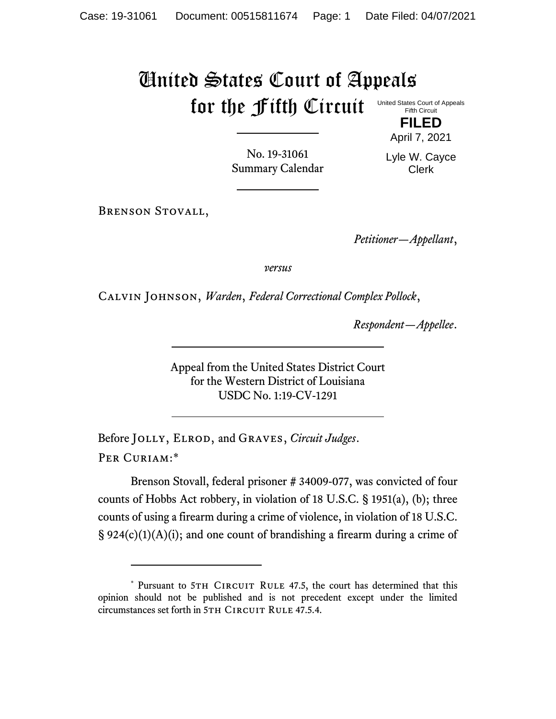## United States Court of Appeals for the Fifth Circuit United States Court of Appeals Fifth Circuit

Lyle W. Cayce Clerk

**FILED** April 7, 2021

No. 19-31061 Summary Calendar

Brenson Stovall,

*Petitioner—Appellant*,

*versus*

Calvin Johnson, *Warden*, *Federal Correctional Complex Pollock*,

*Respondent—Appellee*.

Appeal from the United States District Court for the Western District of Louisiana USDC No. 1:19-CV-1291

Before Jolly, Elrod, and Graves, *Circuit Judges*. Per Curiam:\*

Brenson Stovall, federal prisoner # 34009-077, was convicted of four counts of Hobbs Act robbery, in violation of 18 U.S.C. § 1951(a), (b); three counts of using a firearm during a crime of violence, in violation of 18 U.S.C.  $\S 924(c)(1)(A)(i)$ ; and one count of brandishing a firearm during a crime of

<sup>\*</sup> Pursuant to 5TH CIRCUIT RULE 47.5, the court has determined that this opinion should not be published and is not precedent except under the limited circumstances set forth in 5TH CIRCUIT RULE 47.5.4.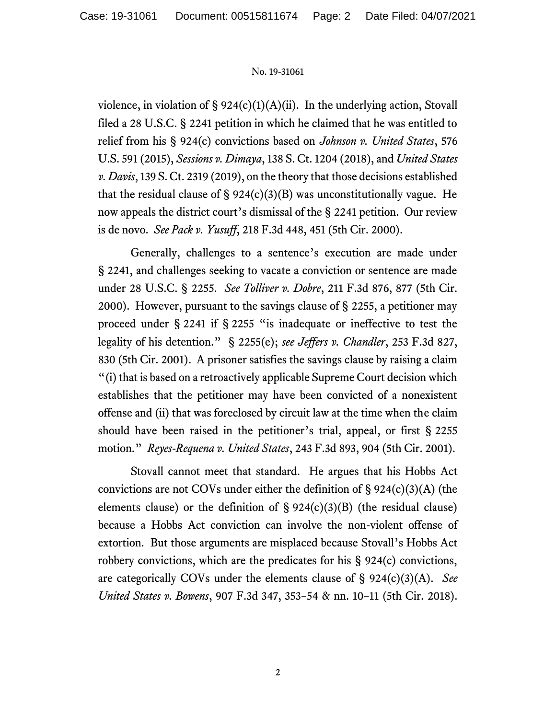## No. 19-31061

violence, in violation of  $\S 924(c)(1)(A)(ii)$ . In the underlying action, Stovall filed a 28 U.S.C. § 2241 petition in which he claimed that he was entitled to relief from his § 924(c) convictions based on *Johnson v. United States*, 576 U.S. 591 (2015), *Sessions v. Dimaya*, 138 S. Ct. 1204 (2018), and *United States v. Davis*, 139 S. Ct. 2319 (2019), on the theory that those decisions established that the residual clause of  $\S 924(c)(3)(B)$  was unconstitutionally vague. He now appeals the district court's dismissal of the § 2241 petition. Our review is de novo. *See Pack v. Yusuff*, 218 F.3d 448, 451 (5th Cir. 2000).

Generally, challenges to a sentence's execution are made under § 2241, and challenges seeking to vacate a conviction or sentence are made under 28 U.S.C. § 2255. *See Tolliver v. Dobre*, 211 F.3d 876, 877 (5th Cir. 2000). However, pursuant to the savings clause of § 2255, a petitioner may proceed under § 2241 if § 2255 "is inadequate or ineffective to test the legality of his detention." § 2255(e); *see Jeffers v. Chandler*, 253 F.3d 827, 830 (5th Cir. 2001). A prisoner satisfies the savings clause by raising a claim "(i) that is based on a retroactively applicable Supreme Court decision which establishes that the petitioner may have been convicted of a nonexistent offense and (ii) that was foreclosed by circuit law at the time when the claim should have been raised in the petitioner's trial, appeal, or first § 2255 motion." *Reyes-Requena v. United States*, 243 F.3d 893, 904 (5th Cir. 2001).

Stovall cannot meet that standard. He argues that his Hobbs Act convictions are not COVs under either the definition of  $\S 924(c)(3)(A)$  (the elements clause) or the definition of  $\S 924(c)(3)(B)$  (the residual clause) because a Hobbs Act conviction can involve the non-violent offense of extortion. But those arguments are misplaced because Stovall's Hobbs Act robbery convictions, which are the predicates for his § 924(c) convictions, are categorically COVs under the elements clause of § 924(c)(3)(A). *See United States v. Bowens*, 907 F.3d 347, 353–54 & nn. 10–11 (5th Cir. 2018).